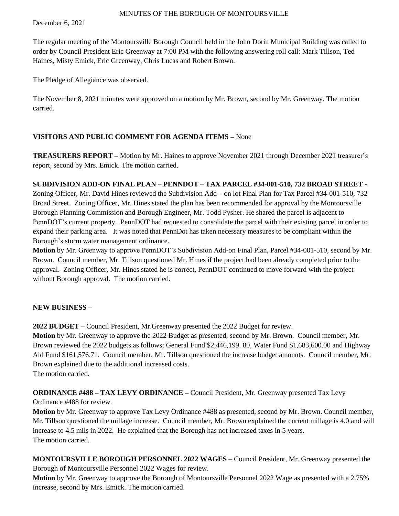December 6, 2021

The regular meeting of the Montoursville Borough Council held in the John Dorin Municipal Building was called to order by Council President Eric Greenway at 7:00 PM with the following answering roll call: Mark Tillson, Ted Haines, Misty Emick, Eric Greenway, Chris Lucas and Robert Brown.

The Pledge of Allegiance was observed.

The November 8, 2021 minutes were approved on a motion by Mr. Brown, second by Mr. Greenway. The motion carried.

## **VISITORS AND PUBLIC COMMENT FOR AGENDA ITEMS –** None

**TREASURERS REPORT –** Motion by Mr. Haines to approve November 2021 through December 2021 treasurer's report, second by Mrs. Emick. The motion carried.

## **SUBDIVISION ADD-ON FINAL PLAN – PENNDOT – TAX PARCEL #34-001-510, 732 BROAD STREET -**

Zoning Officer, Mr. David Hines reviewed the Subdivision Add – on lot Final Plan for Tax Parcel #34-001-510, 732 Broad Street. Zoning Officer, Mr. Hines stated the plan has been recommended for approval by the Montoursville Borough Planning Commission and Borough Engineer, Mr. Todd Pysher. He shared the parcel is adjacent to PennDOT's current property. PennDOT had requested to consolidate the parcel with their existing parcel in order to expand their parking area. It was noted that PennDot has taken necessary measures to be compliant within the Borough's storm water management ordinance.

**Motion** by Mr. Greenway to approve PennDOT's Subdivision Add-on Final Plan, Parcel #34-001-510, second by Mr. Brown. Council member, Mr. Tillson questioned Mr. Hines if the project had been already completed prior to the approval. Zoning Officer, Mr. Hines stated he is correct, PennDOT continued to move forward with the project without Borough approval. The motion carried.

#### **NEW BUSINESS –**

**2022 BUDGET –** Council President, Mr.Greenway presented the 2022 Budget for review.

**Motion** by Mr. Greenway to approve the 2022 Budget as presented, second by Mr. Brown. Council member, Mr. Brown reviewed the 2022 budgets as follows; General Fund \$2,446,199. 80, Water Fund \$1,683,600.00 and Highway Aid Fund \$161,576.71. Council member, Mr. Tillson questioned the increase budget amounts. Council member, Mr. Brown explained due to the additional increased costs.

The motion carried.

**ORDINANCE #488 – TAX LEVY ORDINANCE –** Council President, Mr. Greenway presented Tax Levy

Ordinance #488 for review.

**Motion** by Mr. Greenway to approve Tax Levy Ordinance #488 as presented, second by Mr. Brown. Council member, Mr. Tillson questioned the millage increase. Council member, Mr. Brown explained the current millage is 4.0 and will increase to 4.5 mils in 2022. He explained that the Borough has not increased taxes in 5 years. The motion carried.

**MONTOURSVILLE BOROUGH PERSONNEL 2022 WAGES –** Council President, Mr. Greenway presented the Borough of Montoursville Personnel 2022 Wages for review.

**Motion** by Mr. Greenway to approve the Borough of Montoursville Personnel 2022 Wage as presented with a 2.75% increase, second by Mrs. Emick. The motion carried.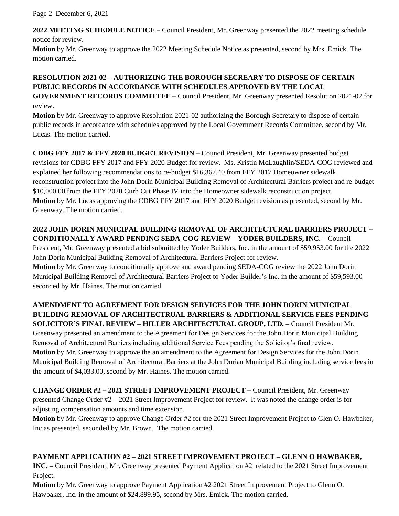Page 2 December 6, 2021

**2022 MEETING SCHEDULE NOTICE –** Council President, Mr. Greenway presented the 2022 meeting schedule notice for review.

**Motion** by Mr. Greenway to approve the 2022 Meeting Schedule Notice as presented, second by Mrs. Emick. The motion carried.

# **RESOLUTION 2021-02 – AUTHORIZING THE BOROUGH SECREARY TO DISPOSE OF CERTAIN PUBLIC RECORDS IN ACCORDANCE WITH SCHEDULES APPROVED BY THE LOCAL**

**GOVERNMENT RECORDS COMMITTEE –** Council President, Mr. Greenway presented Resolution 2021-02 for review.

**Motion** by Mr. Greenway to approve Resolution 2021-02 authorizing the Borough Secretary to dispose of certain public records in accordance with schedules approved by the Local Government Records Committee, second by Mr. Lucas. The motion carried.

**CDBG FFY 2017 & FFY 2020 BUDGET REVISION –** Council President, Mr. Greenway presented budget revisions for CDBG FFY 2017 and FFY 2020 Budget for review. Ms. Kristin McLaughlin/SEDA-COG reviewed and explained her following recommendations to re-budget \$16,367.40 from FFY 2017 Homeowner sidewalk reconstruction project into the John Dorin Municipal Building Removal of Architectural Barriers project and re-budget \$10,000.00 from the FFY 2020 Curb Cut Phase IV into the Homeowner sidewalk reconstruction project. **Motion** by Mr. Lucas approving the CDBG FFY 2017 and FFY 2020 Budget revision as presented, second by Mr. Greenway. The motion carried.

# **2022 JOHN DORIN MUNICIPAL BUILDING REMOVAL OF ARCHITECTURAL BARRIERS PROJECT – CONDITIONALLY AWARD PENDING SEDA-COG REVIEW – YODER BUILDERS, INC. –** Council President, Mr. Greenway presented a bid submitted by Yoder Builders, Inc. in the amount of \$59,953.00 for the 2022 John Dorin Municipal Building Removal of Architectural Barriers Project for review. **Motion** by Mr. Greenway to conditionally approve and award pending SEDA-COG review the 2022 John Dorin

Municipal Building Removal of Architectural Barriers Project to Yoder Builder's Inc. in the amount of \$59,593,00 seconded by Mr. Haines. The motion carried.

# **AMENDMENT TO AGREEMENT FOR DESIGN SERVICES FOR THE JOHN DORIN MUNICIPAL BUILDING REMOVAL OF ARCHITECTRUAL BARRIERS & ADDITIONAL SERVICE FEES PENDING SOLICITOR'S FINAL REVIEW – HILLER ARCHITECTURAL GROUP, LTD. –** Council President Mr. Greenway presented an amendment to the Agreement for Design Services for the John Dorin Municipal Building Removal of Architectural Barriers including additional Service Fees pending the Solicitor's final review. **Motion** by Mr. Greenway to approve the an amendment to the Agreement for Design Services for the John Dorin Municipal Building Removal of Architectural Barriers at the John Dorian Municipal Building including service fees in the amount of \$4,033.00, second by Mr. Haines. The motion carried.

**CHANGE ORDER #2 – 2021 STREET IMPROVEMENT PROJECT –** Council President, Mr. Greenway presented Change Order #2 – 2021 Street Improvement Project for review. It was noted the change order is for adjusting compensation amounts and time extension.

**Motion** by Mr. Greenway to approve Change Order #2 for the 2021 Street Improvement Project to Glen O. Hawbaker, Inc.as presented, seconded by Mr. Brown. The motion carried.

# **PAYMENT APPLICATION #2 – 2021 STREET IMPROVEMENT PROJECT – GLENN O HAWBAKER,**

**INC. –** Council President, Mr. Greenway presented Payment Application #2 related to the 2021 Street Improvement Project.

**Motion** by Mr. Greenway to approve Payment Application #2 2021 Street Improvement Project to Glenn O. Hawbaker, Inc. in the amount of \$24,899.95, second by Mrs. Emick. The motion carried.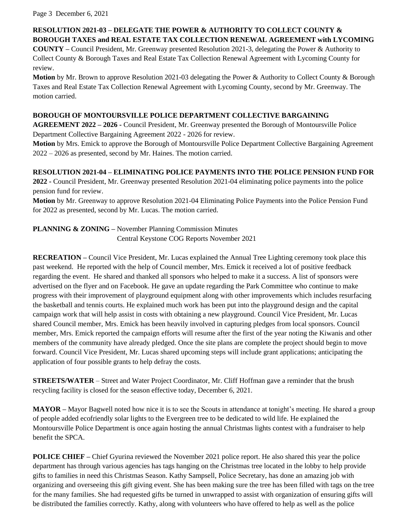Page 3 December 6, 2021

## **RESOLUTION 2021-03 – DELEGATE THE POWER & AUTHORITY TO COLLECT COUNTY & BOROUGH TAXES and REAL ESTATE TAX COLLECTION RENEWAL AGREEMENT with LYCOMING**

**COUNTY –** Council President, Mr. Greenway presented Resolution 2021-3, delegating the Power & Authority to Collect County & Borough Taxes and Real Estate Tax Collection Renewal Agreement with Lycoming County for review.

**Motion** by Mr. Brown to approve Resolution 2021-03 delegating the Power & Authority to Collect County & Borough Taxes and Real Estate Tax Collection Renewal Agreement with Lycoming County, second by Mr. Greenway. The motion carried.

#### **BOROUGH OF MONTOURSVILLE POLICE DEPARTMENT COLLECTIVE BARGAINING**

**AGREEMENT 2022 – 2026 -** Council President, Mr. Greenway presented the Borough of Montoursville Police Department Collective Bargaining Agreement 2022 - 2026 for review.

**Motion** by Mrs. Emick to approve the Borough of Montoursville Police Department Collective Bargaining Agreement 2022 – 2026 as presented, second by Mr. Haines. The motion carried.

## **RESOLUTION 2021-04 – ELIMINATING POLICE PAYMENTS INTO THE POLICE PENSION FUND FOR**

**2022 -** Council President, Mr. Greenway presented Resolution 2021-04 eliminating police payments into the police pension fund for review.

**Motion** by Mr. Greenway to approve Resolution 2021-04 Eliminating Police Payments into the Police Pension Fund for 2022 as presented, second by Mr. Lucas. The motion carried.

**PLANNING & ZONING –** November Planning Commission Minutes Central Keystone COG Reports November 2021

**RECREATION –** Council Vice President, Mr. Lucas explained the Annual Tree Lighting ceremony took place this past weekend. He reported with the help of Council member, Mrs. Emick it received a lot of positive feedback regarding the event. He shared and thanked all sponsors who helped to make it a success. A list of sponsors were advertised on the flyer and on Facebook. He gave an update regarding the Park Committee who continue to make progress with their improvement of playground equipment along with other improvements which includes resurfacing the basketball and tennis courts. He explained much work has been put into the playground design and the capital campaign work that will help assist in costs with obtaining a new playground. Council Vice President, Mr. Lucas shared Council member, Mrs. Emick has been heavily involved in capturing pledges from local sponsors. Council member, Mrs. Emick reported the campaign efforts will resume after the first of the year noting the Kiwanis and other members of the community have already pledged. Once the site plans are complete the project should begin to move forward. Council Vice President, Mr. Lucas shared upcoming steps will include grant applications; anticipating the application of four possible grants to help defray the costs.

**STREETS/WATER** – Street and Water Project Coordinator, Mr. Cliff Hoffman gave a reminder that the brush recycling facility is closed for the season effective today, December 6, 2021.

**MAYOR –** Mayor Bagwell noted how nice it is to see the Scouts in attendance at tonight's meeting. He shared a group of people added ecofriendly solar lights to the Evergreen tree to be dedicated to wild life. He explained the Montoursville Police Department is once again hosting the annual Christmas lights contest with a fundraiser to help benefit the SPCA.

**POLICE CHIEF** – Chief Gyurina reviewed the November 2021 police report. He also shared this year the police department has through various agencies has tags hanging on the Christmas tree located in the lobby to help provide gifts to families in need this Christmas Season. Kathy Sampsell, Police Secretary, has done an amazing job with organizing and overseeing this gift giving event. She has been making sure the tree has been filled with tags on the tree for the many families. She had requested gifts be turned in unwrapped to assist with organization of ensuring gifts will be distributed the families correctly. Kathy, along with volunteers who have offered to help as well as the police